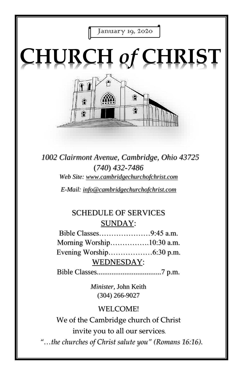

*1002 Clairmont Avenue, Cambridge, Ohio 43725* (*740*) *432-7486 Web Site: www.cambridgechurchofchrist.com*

*E-Mail: info@cambridgechurchofchrist.com*

# SCHEDULE OF SERVICES SUNDAY:

Bible Classes…………………9:45 a.m. Morning Worship…………….10:30 a.m. Evening Worship………………6:30 p.m. WEDNESDAY:

Bible Classes...................................7 p.m.

*Minister,* John Keith (304) 266-9027

## WELCOME!

We of the Cambridge church of Christ invite you to all our services*.*

*"…the churches of Christ salute you" (Romans 16:16).*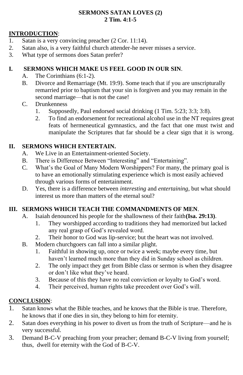#### **SERMONS SATAN LOVES (2) 2 Tim. 4:1-5**

#### **INTRODUCTION**:

- 1. Satan is a very convincing preacher (2 Cor. 11:14).
- 2. Satan also, is a very faithful church attender-he never misses a service.
- 3. What type of sermons does Satan prefer?

#### **I. SERMONS WHICH MAKE US FEEL GOOD IN OUR SIN**.

- A. The Corinthians (6:1-2).
- B. Divorce and Remarriage (Mt. 19:9). Some teach that if you are unscripturally remarried prior to baptism that your sin is forgiven and you may remain in the second marriage—that is not the case!
- C. Drunkenness
	- 1. Supposedly, Paul endorsed social drinking (1 Tim. 5:23; 3:3; 3:8).
	- 2. To find an endorsement for recreational alcohol use in the NT requires great feats of hermeneutical gymnastics, and the fact that one must twist and manipulate the Scriptures that far should be a clear sign that it is wrong.

### **II. SERMONS WHICH ENTERTAIN.**

- A. We Live in an Entertainment-oriented Society.
- B. There is Difference Between "Interesting" and "Entertaining".
- C. What's the Goal of Many Modern Worshippers? For many, the primary goal is to have an emotionally stimulating experience which is most easily achieved through various forms of entertainment.
- D. Yes, there is a difference between *interesting* and *entertaining*, but what should interest us more than matters of the eternal soul?

### **III. SERMONS WHICH TEACH THE COMMANDMENTS OF MEN**.

- A. Isaiah denounced his people for the shallowness of their faith**(Isa. 29:13)**.
	- 1. They worshipped according to traditions they had memorized but lacked any real grasp of God's revealed word.
	- 2. Their honor to God was lip-service; but the heart was not involved.
- B. Modern churchgoers can fall into a similar plight.
	- 1. Faithful in showing up, once or twice a week; maybe every time, but haven't learned much more than they did in Sunday school as children.
	- 2. The only impact they get from Bible class or sermon is when they disagree or don't like what they've heard.
	- 3. Because of this they have no real conviction or loyalty to God's word.
	- 4. Their perceived, human rights take precedent over God's will.

#### **CONCLUSION**:

- 1. Satan knows what the Bible teaches, and he knows that the Bible is true. Therefore, he knows that if one dies in sin, they belong to him for eternity.
- 2. Satan does everything in his power to divert us from the truth of Scripture—and he is very successful.
- 3. Demand B-C-V preaching from your preacher; demand B-C-V living from yourself; thus, dwell for eternity with the God of B-C-V.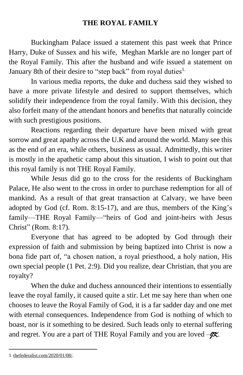### **THE ROYAL FAMILY**

Buckingham Palace issued a statement this past week that Prince Harry, Duke of Sussex and his wife, Meghan Markle are no longer part of the Royal Family. This after the husband and wife issued a statement on January 8th of their desire to "step back" from royal duties<sup>1.</sup>

In various media reports, the duke and duchess said they wished to have a more private lifestyle and desired to support themselves, which solidify their independence from the royal family. With this decision, they also forfeit many of the attendant honors and benefits that naturally coincide with such prestigious positions.

Reactions regarding their departure have been mixed with great sorrow and great apathy across the U.K and around the world. Many see this as the end of an era, while others, business as usual. Admittedly, this writer is mostly in the apathetic camp about this situation, I wish to point out that this royal family is not THE Royal Family.

While Jesus did go to the cross for the residents of Buckingham Palace, He also went to the cross in order to purchase redemption for all of mankind. As a result of that great transaction at Calvary, we have been adopted by God (cf. Rom. 8:15-17), and are thus, members of the King's family—THE Royal Family—"heirs of God and joint-heirs with Jesus Christ" (Rom. 8:17).

Everyone that has agreed to be adopted by God through their expression of faith and submission by being baptized into Christ is now a bona fide part of, "a chosen nation, a royal priesthood, a holy nation, His own special people (1 Pet. 2:9). Did you realize, dear Christian, that you are royalty?

When the duke and duchess announced their intentions to essentially leave the royal family, it caused quite a stir. Let me say here than when one chooses to leave the Royal Family of God, it is a far sadder day and one met with eternal consequences. Independence from God is nothing of which to boast, nor is it something to be desired. Such leads only to eternal suffering and regret. You are a part of THE Royal Family and you are loved  $-\frac{1}{2}$ .

<sup>1</sup> [thefederalist.com/2020/01/08/.](https://thefederalist.com/2020/01/08/)